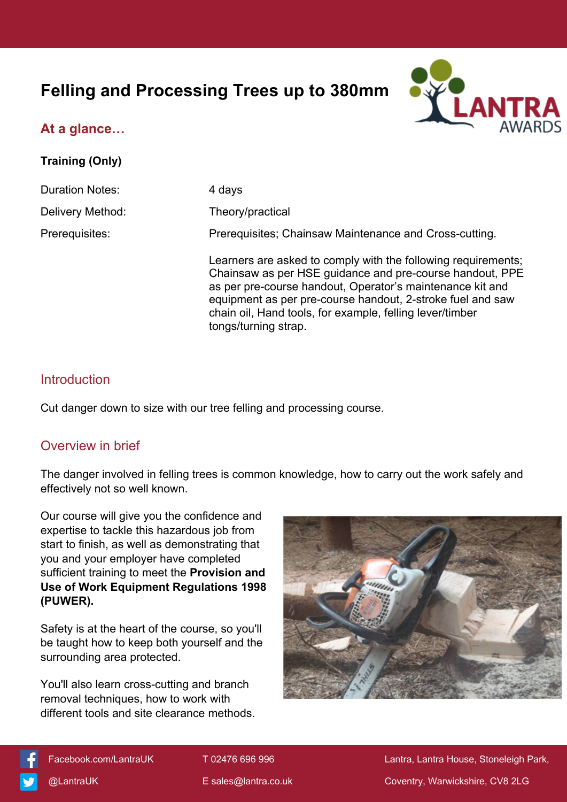# **Felling and Processing Trees up to 380mm**



**Training (Only)**



| <b>Duration Notes:</b> | 4 days                                                                                                                                                                                                                                                                                                                                   |
|------------------------|------------------------------------------------------------------------------------------------------------------------------------------------------------------------------------------------------------------------------------------------------------------------------------------------------------------------------------------|
| Delivery Method:       | Theory/practical                                                                                                                                                                                                                                                                                                                         |
| Prerequisites:         | Prerequisites; Chainsaw Maintenance and Cross-cutting.                                                                                                                                                                                                                                                                                   |
|                        | Learners are asked to comply with the following requirements;<br>Chainsaw as per HSE guidance and pre-course handout, PPE<br>as per pre-course handout, Operator's maintenance kit and<br>equipment as per pre-course handout, 2-stroke fuel and saw<br>chain oil, Hand tools, for example, felling lever/timber<br>tongs/turning strap. |

# **Introduction**

Cut danger down to size with our tree felling and processing course.

# Overview in brief

The danger involved in felling trees is common knowledge, how to carry out the work safely and effectively not so well known.

Our course will give you the confidence and expertise to tackle this hazardous job from start to finish, as well as demonstrating that you and your employer have completed sufficient training to meet the **Provision and Use of Work Equipment Regulations 1998 (PUWER).**

Safety is at the heart of the course, so you'll be taught how to keep both yourself and the surrounding area protected.

You'll also learn cross-cutting and branch removal techniques, how to work with different tools and site clearance methods.





[Facebook.com/LantraUK](https://www.facebook.com/LantraUK/) T 02476 696 996 Lantra, Lantra, Lantra House, Stoneleigh Park, [@LantraUK](http://www.twitter.com/lantrauk) E [sales@lantra.co.uk](mailto:sales@lantra.co.uk) Coventry, Warwickshire, CV8 2LG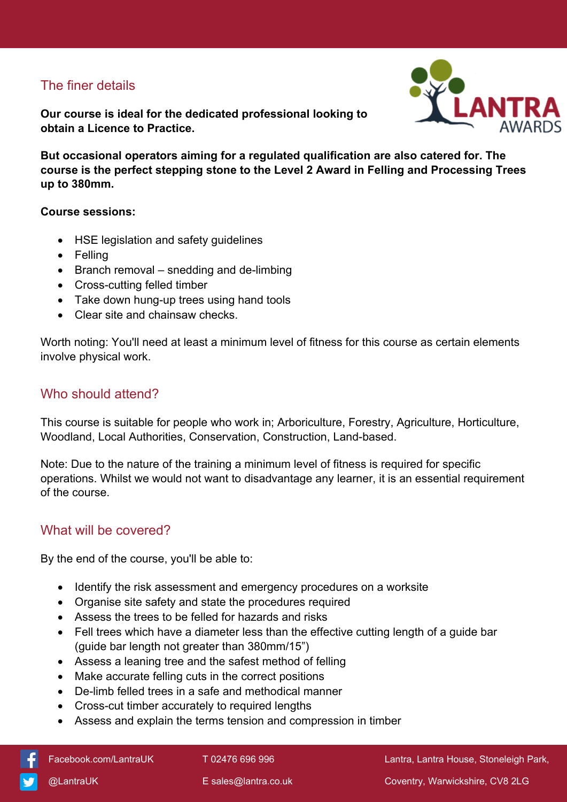# The finer details

**Our course is ideal for the dedicated professional looking to obtain a Licence to Practice.**



**But occasional operators aiming for a regulated qualification are also catered for. The course is the perfect stepping stone to the Level 2 Award in Felling and Processing Trees up to 380mm.**

#### **Course sessions:**

- HSE legislation and safety guidelines
- Felling
- Branch removal snedding and de-limbing
- Cross-cutting felled timber
- Take down hung-up trees using hand tools
- Clear site and chainsaw checks.

Worth noting: You'll need at least a minimum level of fitness for this course as certain elements involve physical work.

# Who should attend?

This course is suitable for people who work in; Arboriculture, Forestry, Agriculture, Horticulture, Woodland, Local Authorities, Conservation, Construction, Land-based.

Note: Due to the nature of the training a minimum level of fitness is required for specific operations. Whilst we would not want to disadvantage any learner, it is an essential requirement of the course.

# What will be covered?

By the end of the course, you'll be able to:

- Identify the risk assessment and emergency procedures on a worksite
- Organise site safety and state the procedures required
- Assess the trees to be felled for hazards and risks
- Fell trees which have a diameter less than the effective cutting length of a guide bar (guide bar length not greater than 380mm/15")
- Assess a leaning tree and the safest method of felling
- Make accurate felling cuts in the correct positions
- De-limb felled trees in a safe and methodical manner
- Cross-cut timber accurately to required lengths
- Assess and explain the terms tension and compression in timber

[Facebook.com/LantraUK](https://www.facebook.com/LantraUK/) T 02476 696 996 Lantra, Lantra, Lantra House, Stoneleigh Park,

[@LantraUK](http://www.twitter.com/lantrauk) E [sales@lantra.co.uk](mailto:sales@lantra.co.uk) Coventry, Warwickshire, CV8 2LG